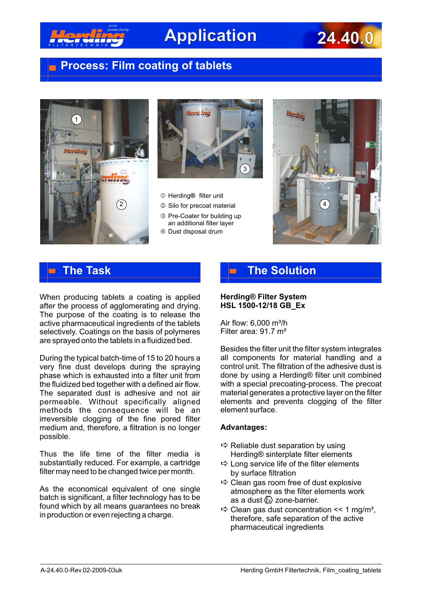

# **Application 24.40.0**

## **Process: Film coating of tablets**





- Herding**®** filter unit
- 2) a Silo for precoat material and the state of the Silo (4
	- ƒ Pre-Coater for building up an additional filter layer
	- " Dust disposal drum



## **The Task**

When producing tablets a coating is applied after the process of agglomerating and drying. The purpose of the coating is to release the active pharmaceutical ingredients of the tablets selectively. Coatings on the basis of polymeres are sprayed onto the tablets in a fluidized bed.

During the typical batch-time of 15 to 20 hours a very fine dust develops during the spraying phase which is exhausted into a filter unit from the fluidized bed together with a defined air flow. The separated dust is adhesive and not air permeable. Without specifically aligned methods the consequence will be an irreversible clogging of the fine pored filter medium and, therefore, a filtration is no longer possible.

Thus the life time of the filter media is substantially reduced. For example, a cartridge filter may need to be changed twice per month.

As the economical equivalent of one single batch is significant, a filter technology has to be found which by all means guarantees no break in production or even rejecting a charge.

## **The Solution**

### **Herding® Filter System HSL 1500-12/18 GB\_Ex**

Air flow:  $6,000$  m<sup>3</sup>/h Filter area: 91.7 m²

Besides the filter unit the filter system integrates all components for material handling and a control unit. The filtration of the adhesive dust is done by using a Herding® filter unit combined with a special precoating-process. The precoat material generates a protective layer on the filter elements and prevents clogging of the filter element surface.

### **Advantages:**

- $\Rightarrow$  Reliable dust separation by using Herding® sinterplate filter elements
- $\Rightarrow$  Long service life of the filter elements by surface filtration
- $\Rightarrow$  Clean gas room free of dust explosive atmosphere as the filter elements work as a dust  $\textcircled{k}$  zone-barrier.
- $\Rightarrow$  Clean gas dust concentration  $\leq 1$  mg/m<sup>3</sup>. therefore, safe separation of the active pharmaceutical ingredients